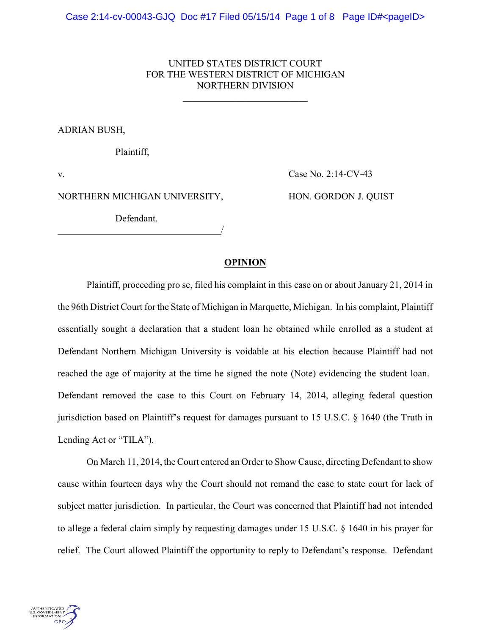# UNITED STATES DISTRICT COURT FOR THE WESTERN DISTRICT OF MICHIGAN NORTHERN DIVISION

\_\_\_\_\_\_\_\_\_\_\_\_\_\_\_\_\_\_\_\_\_\_\_\_\_\_

## ADRIAN BUSH,

Plaintiff,

v. Case No. 2:14-CV-43

NORTHERN MICHIGAN UNIVERSITY, HON. GORDON J. QUIST

Defendant. \_\_\_\_\_\_\_\_\_\_\_\_\_\_\_\_\_\_\_\_\_\_\_\_\_\_\_\_\_\_\_\_\_\_/

### **OPINION**

Plaintiff, proceeding pro se, filed his complaint in this case on or about January 21, 2014 in the 96th District Court for the State of Michigan in Marquette, Michigan. In his complaint, Plaintiff essentially sought a declaration that a student loan he obtained while enrolled as a student at Defendant Northern Michigan University is voidable at his election because Plaintiff had not reached the age of majority at the time he signed the note (Note) evidencing the student loan. Defendant removed the case to this Court on February 14, 2014, alleging federal question jurisdiction based on Plaintiff's request for damages pursuant to 15 U.S.C. § 1640 (the Truth in Lending Act or "TILA").

On March 11, 2014, the Court entered an Order to Show Cause, directing Defendant to show cause within fourteen days why the Court should not remand the case to state court for lack of subject matter jurisdiction. In particular, the Court was concerned that Plaintiff had not intended to allege a federal claim simply by requesting damages under 15 U.S.C. § 1640 in his prayer for relief. The Court allowed Plaintiff the opportunity to reply to Defendant's response. Defendant

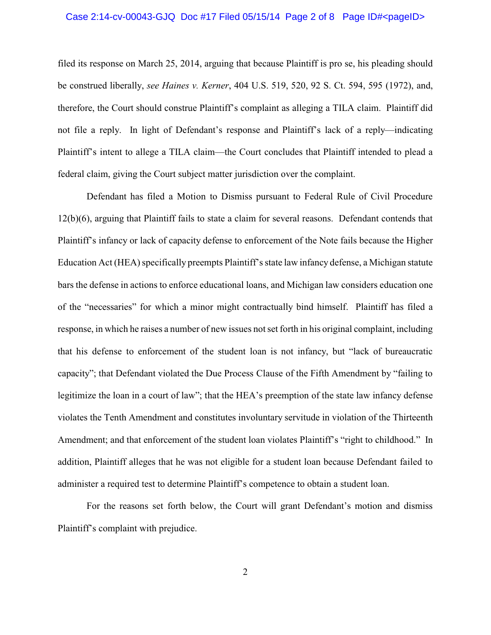#### Case 2:14-cv-00043-GJQ Doc #17 Filed 05/15/14 Page 2 of 8 Page ID#<pageID>

filed its response on March 25, 2014, arguing that because Plaintiff is pro se, his pleading should be construed liberally, *see Haines v. Kerner*, 404 U.S. 519, 520, 92 S. Ct. 594, 595 (1972), and, therefore, the Court should construe Plaintiff's complaint as alleging a TILA claim. Plaintiff did not file a reply. In light of Defendant's response and Plaintiff's lack of a reply—indicating Plaintiff's intent to allege a TILA claim—the Court concludes that Plaintiff intended to plead a federal claim, giving the Court subject matter jurisdiction over the complaint.

Defendant has filed a Motion to Dismiss pursuant to Federal Rule of Civil Procedure 12(b)(6), arguing that Plaintiff fails to state a claim for several reasons. Defendant contends that Plaintiff's infancy or lack of capacity defense to enforcement of the Note fails because the Higher Education Act (HEA) specifically preempts Plaintiff's state law infancy defense, a Michigan statute bars the defense in actions to enforce educational loans, and Michigan law considers education one of the "necessaries" for which a minor might contractually bind himself. Plaintiff has filed a response, in which he raises a number of new issues not set forth in his original complaint, including that his defense to enforcement of the student loan is not infancy, but "lack of bureaucratic capacity"; that Defendant violated the Due Process Clause of the Fifth Amendment by "failing to legitimize the loan in a court of law"; that the HEA's preemption of the state law infancy defense violates the Tenth Amendment and constitutes involuntary servitude in violation of the Thirteenth Amendment; and that enforcement of the student loan violates Plaintiff's "right to childhood." In addition, Plaintiff alleges that he was not eligible for a student loan because Defendant failed to administer a required test to determine Plaintiff's competence to obtain a student loan.

For the reasons set forth below, the Court will grant Defendant's motion and dismiss Plaintiff's complaint with prejudice.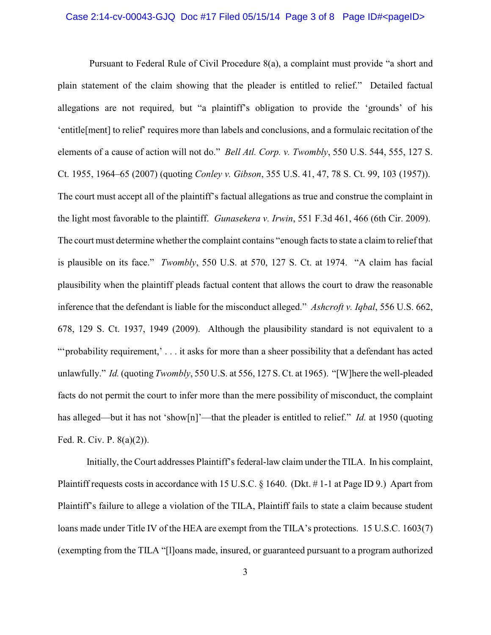#### Case 2:14-cv-00043-GJQ Doc #17 Filed 05/15/14 Page 3 of 8 Page ID#<pageID>

Pursuant to Federal Rule of Civil Procedure 8(a), a complaint must provide "a short and plain statement of the claim showing that the pleader is entitled to relief." Detailed factual allegations are not required, but "a plaintiff's obligation to provide the 'grounds' of his 'entitle[ment] to relief' requires more than labels and conclusions, and a formulaic recitation of the elements of a cause of action will not do." *Bell Atl. Corp. v. Twombly*, 550 U.S. 544, 555, 127 S. Ct. 1955, 1964–65 (2007) (quoting *Conley v. Gibson*, 355 U.S. 41, 47, 78 S. Ct. 99, 103 (1957)). The court must accept all of the plaintiff's factual allegations as true and construe the complaint in the light most favorable to the plaintiff. *Gunasekera v. Irwin*, 551 F.3d 461, 466 (6th Cir. 2009). The court must determine whether the complaint contains "enough facts to state a claim to relief that is plausible on its face." *Twombly*, 550 U.S. at 570, 127 S. Ct. at 1974. "A claim has facial plausibility when the plaintiff pleads factual content that allows the court to draw the reasonable inference that the defendant is liable for the misconduct alleged." *Ashcroft v. Iqbal*, 556 U.S. 662, 678, 129 S. Ct. 1937, 1949 (2009). Although the plausibility standard is not equivalent to a "'probability requirement,' . . . it asks for more than a sheer possibility that a defendant has acted unlawfully." *Id.* (quoting *Twombly*, 550 U.S. at 556, 127 S. Ct. at 1965). "[W]here the well-pleaded facts do not permit the court to infer more than the mere possibility of misconduct, the complaint has alleged—but it has not 'show[n]'—that the pleader is entitled to relief." *Id.* at 1950 (quoting Fed. R. Civ. P. 8(a)(2)).

Initially, the Court addresses Plaintiff's federal-law claim under the TILA. In his complaint, Plaintiff requests costs in accordance with 15 U.S.C. § 1640. (Dkt. # 1-1 at Page ID 9.) Apart from Plaintiff's failure to allege a violation of the TILA, Plaintiff fails to state a claim because student loans made under Title IV of the HEA are exempt from the TILA's protections. 15 U.S.C. 1603(7) (exempting from the TILA "[l]oans made, insured, or guaranteed pursuant to a program authorized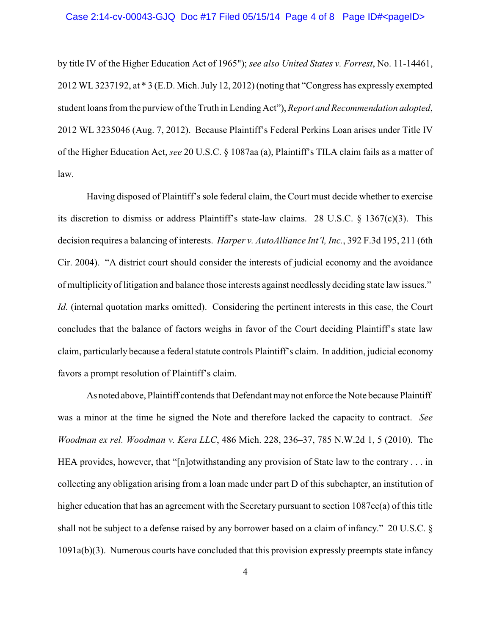#### Case 2:14-cv-00043-GJQ Doc #17 Filed 05/15/14 Page 4 of 8 Page ID#<pageID>

by title IV of the Higher Education Act of 1965"); *see also United States v. Forrest*, No. 11-14461, 2012 WL 3237192, at \* 3 (E.D. Mich. July 12, 2012) (noting that "Congress has expressly exempted student loans from the purview of the Truth in LendingAct"), *Report and Recommendation adopted*, 2012 WL 3235046 (Aug. 7, 2012). Because Plaintiff's Federal Perkins Loan arises under Title IV of the Higher Education Act, *see* 20 U.S.C. § 1087aa (a), Plaintiff's TILA claim fails as a matter of law.

Having disposed of Plaintiff's sole federal claim, the Court must decide whether to exercise its discretion to dismiss or address Plaintiff's state-law claims. 28 U.S.C. § 1367(c)(3). This decision requires a balancing of interests. *Harper v. AutoAlliance Int'l, Inc.*, 392 F.3d 195, 211 (6th Cir. 2004). "A district court should consider the interests of judicial economy and the avoidance of multiplicity of litigation and balance those interests against needlessly deciding state law issues." *Id.* (internal quotation marks omitted). Considering the pertinent interests in this case, the Court concludes that the balance of factors weighs in favor of the Court deciding Plaintiff's state law claim, particularly because a federal statute controls Plaintiff's claim. In addition, judicial economy favors a prompt resolution of Plaintiff's claim.

As noted above, Plaintiff contends that Defendant maynot enforce the Note because Plaintiff was a minor at the time he signed the Note and therefore lacked the capacity to contract. *See Woodman ex rel. Woodman v. Kera LLC*, 486 Mich. 228, 236–37, 785 N.W.2d 1, 5 (2010). The HEA provides, however, that "[n]otwithstanding any provision of State law to the contrary . . . in collecting any obligation arising from a loan made under part D of this subchapter, an institution of higher education that has an agreement with the Secretary pursuant to section 1087cc(a) of this title shall not be subject to a defense raised by any borrower based on a claim of infancy." 20 U.S.C. § 1091a(b)(3). Numerous courts have concluded that this provision expressly preempts state infancy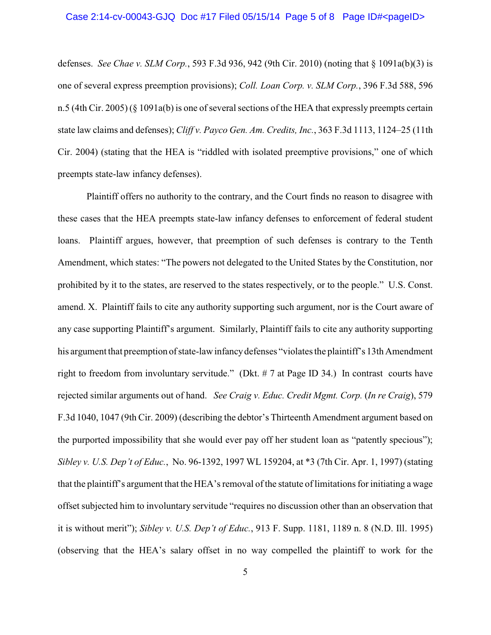#### Case 2:14-cv-00043-GJQ Doc #17 Filed 05/15/14 Page 5 of 8 Page ID#<pageID>

defenses. *See Chae v. SLM Corp.*, 593 F.3d 936, 942 (9th Cir. 2010) (noting that § 1091a(b)(3) is one of several express preemption provisions); *Coll. Loan Corp. v. SLM Corp.*, 396 F.3d 588, 596 n.5 (4th Cir. 2005) (§ 1091a(b) is one of several sections of the HEA that expressly preempts certain state law claims and defenses); *Cliff v. Payco Gen. Am. Credits, Inc.*, 363 F.3d 1113, 1124–25 (11th Cir. 2004) (stating that the HEA is "riddled with isolated preemptive provisions," one of which preempts state-law infancy defenses).

Plaintiff offers no authority to the contrary, and the Court finds no reason to disagree with these cases that the HEA preempts state-law infancy defenses to enforcement of federal student loans. Plaintiff argues, however, that preemption of such defenses is contrary to the Tenth Amendment, which states: "The powers not delegated to the United States by the Constitution, nor prohibited by it to the states, are reserved to the states respectively, or to the people." U.S. Const. amend. X. Plaintiff fails to cite any authority supporting such argument, nor is the Court aware of any case supporting Plaintiff's argument. Similarly, Plaintiff fails to cite any authority supporting his argument that preemption of state-law infancy defenses "violates the plaintiff's 13th Amendment right to freedom from involuntary servitude." (Dkt. # 7 at Page ID 34.) In contrast courts have rejected similar arguments out of hand. *See Craig v. Educ. Credit Mgmt. Corp.* (*In re Craig*), 579 F.3d 1040, 1047 (9th Cir. 2009) (describing the debtor's Thirteenth Amendment argument based on the purported impossibility that she would ever pay off her student loan as "patently specious"); *Sibley v. U.S. Dep't of Educ.*, No. 96-1392, 1997 WL 159204, at \*3 (7th Cir. Apr. 1, 1997) (stating that the plaintiff's argument that the HEA's removal of the statute of limitations for initiating a wage offset subjected him to involuntary servitude "requires no discussion other than an observation that it is without merit"); *Sibley v. U.S. Dep't of Educ.*, 913 F. Supp. 1181, 1189 n. 8 (N.D. Ill. 1995) (observing that the HEA's salary offset in no way compelled the plaintiff to work for the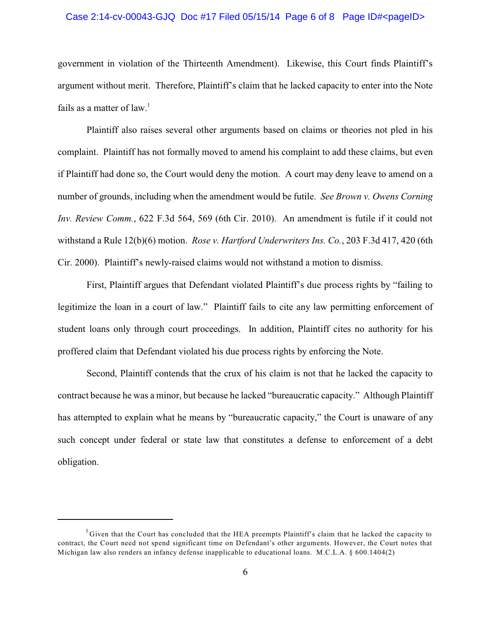#### Case 2:14-cv-00043-GJQ Doc #17 Filed 05/15/14 Page 6 of 8 Page ID#<pageID>

government in violation of the Thirteenth Amendment). Likewise, this Court finds Plaintiff's argument without merit. Therefore, Plaintiff's claim that he lacked capacity to enter into the Note fails as a matter of law.<sup>1</sup>

Plaintiff also raises several other arguments based on claims or theories not pled in his complaint. Plaintiff has not formally moved to amend his complaint to add these claims, but even if Plaintiff had done so, the Court would deny the motion. A court may deny leave to amend on a number of grounds, including when the amendment would be futile. *See Brown v. Owens Corning Inv. Review Comm.*, 622 F.3d 564, 569 (6th Cir. 2010). An amendment is futile if it could not withstand a Rule 12(b)(6) motion. *Rose v. Hartford Underwriters Ins. Co.*, 203 F.3d 417, 420 (6th Cir. 2000). Plaintiff's newly-raised claims would not withstand a motion to dismiss.

First, Plaintiff argues that Defendant violated Plaintiff's due process rights by "failing to legitimize the loan in a court of law." Plaintiff fails to cite any law permitting enforcement of student loans only through court proceedings. In addition, Plaintiff cites no authority for his proffered claim that Defendant violated his due process rights by enforcing the Note.

Second, Plaintiff contends that the crux of his claim is not that he lacked the capacity to contract because he was a minor, but because he lacked "bureaucratic capacity." Although Plaintiff has attempted to explain what he means by "bureaucratic capacity," the Court is unaware of any such concept under federal or state law that constitutes a defense to enforcement of a debt obligation.

 ${}^{1}$ Given that the Court has concluded that the HEA preempts Plaintiff's claim that he lacked the capacity to contract, the Court need not spend significant time on Defendant's other arguments. However, the Court notes that Michigan law also renders an infancy defense inapplicable to educational loans. M.C.L.A. § 600.1404(2)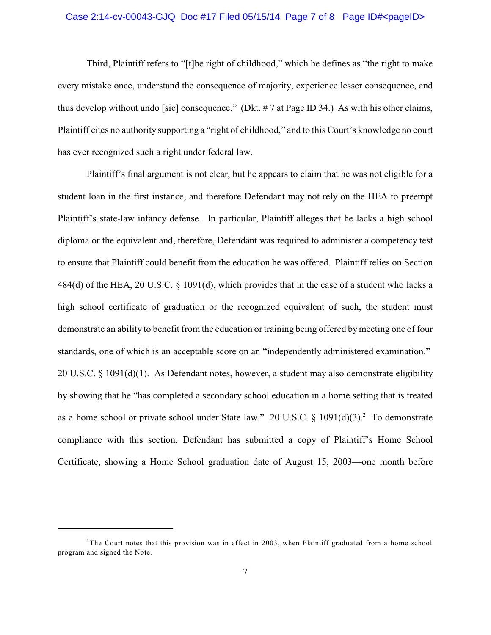#### Case 2:14-cv-00043-GJQ Doc #17 Filed 05/15/14 Page 7 of 8 Page ID#<pageID>

Third, Plaintiff refers to "[t]he right of childhood," which he defines as "the right to make every mistake once, understand the consequence of majority, experience lesser consequence, and thus develop without undo [sic] consequence." (Dkt. # 7 at Page ID 34.) As with his other claims, Plaintiff cites no authority supporting a "right of childhood," and to this Court's knowledge no court has ever recognized such a right under federal law.

Plaintiff's final argument is not clear, but he appears to claim that he was not eligible for a student loan in the first instance, and therefore Defendant may not rely on the HEA to preempt Plaintiff's state-law infancy defense. In particular, Plaintiff alleges that he lacks a high school diploma or the equivalent and, therefore, Defendant was required to administer a competency test to ensure that Plaintiff could benefit from the education he was offered. Plaintiff relies on Section 484(d) of the HEA, 20 U.S.C. § 1091(d), which provides that in the case of a student who lacks a high school certificate of graduation or the recognized equivalent of such, the student must demonstrate an ability to benefit from the education or training being offered bymeeting one of four standards, one of which is an acceptable score on an "independently administered examination." 20 U.S.C. § 1091(d)(1). As Defendant notes, however, a student may also demonstrate eligibility by showing that he "has completed a secondary school education in a home setting that is treated as a home school or private school under State law." 20 U.S.C.  $\S$  1091(d)(3).<sup>2</sup> To demonstrate compliance with this section, Defendant has submitted a copy of Plaintiff's Home School Certificate, showing a Home School graduation date of August 15, 2003—one month before

<sup>&</sup>lt;sup>2</sup>The Court notes that this provision was in effect in 2003, when Plaintiff graduated from a home school program and signed the Note.